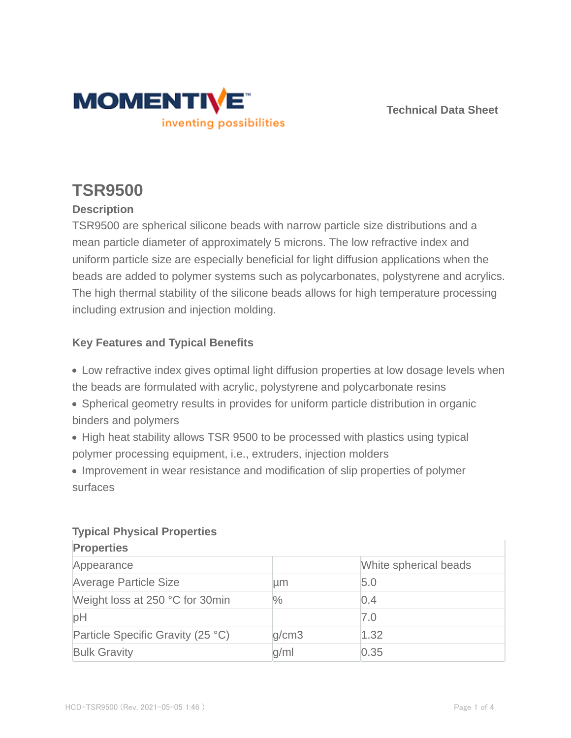

**Technical Data Sheet**

# **TSR9500**

## **Description**

TSR9500 are spherical silicone beads with narrow particle size distributions and a mean particle diameter of approximately 5 microns. The low refractive index and uniform particle size are especially beneficial for light diffusion applications when the beads are added to polymer systems such as polycarbonates, polystyrene and acrylics. The high thermal stability of the silicone beads allows for high temperature processing including extrusion and injection molding.

#### **Key Features and Typical Benefits**

- Low refractive index gives optimal light diffusion properties at low dosage levels when the beads are formulated with acrylic, polystyrene and polycarbonate resins
- Spherical geometry results in provides for uniform particle distribution in organic binders and polymers
- High heat stability allows TSR 9500 to be processed with plastics using typical polymer processing equipment, i.e., extruders, injection molders
- Improvement in wear resistance and modification of slip properties of polymer surfaces

| <b>Properties</b>                 |       |                       |  |  |
|-----------------------------------|-------|-----------------------|--|--|
| Appearance                        |       | White spherical beads |  |  |
| Average Particle Size             | um    | 5.0                   |  |  |
| Weight loss at 250 °C for 30min   | ℅     | 0.4                   |  |  |
| pH                                |       | 7.0                   |  |  |
| Particle Specific Gravity (25 °C) | q/cm3 | 1.32                  |  |  |
| <b>Bulk Gravity</b>               | q/ml  | 0.35                  |  |  |

#### **Typical Physical Properties**

**Properties**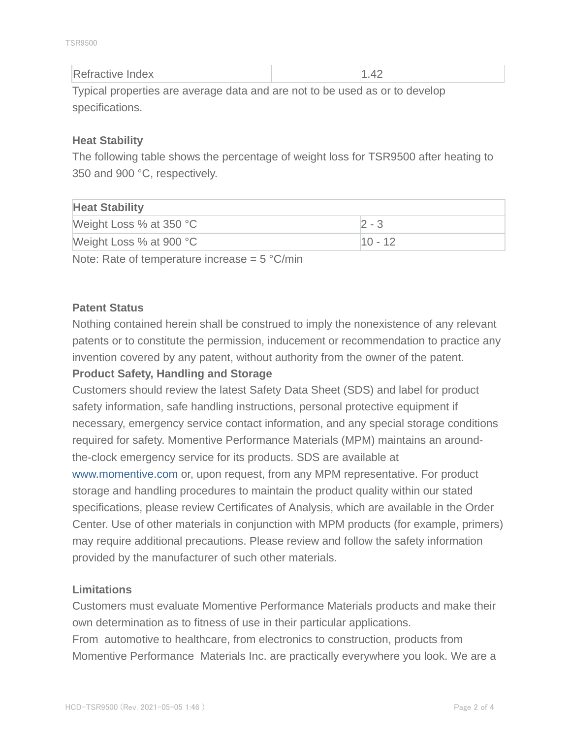TSR9500

| Refractive Index                                                            | 1.42 |
|-----------------------------------------------------------------------------|------|
| Typical properties are average data and are not to be used as or to develop |      |

specifications.

#### **Heat Stability**

The following table shows the percentage of weight loss for TSR9500 after heating to 350 and 900 °C, respectively.

## **Heat Stability**

| $1.1$ with with $2.111$ |           |  |
|-------------------------|-----------|--|
| Weight Loss % at 350 °C | フー3       |  |
| Weight Loss % at 900 °C | $10 - 12$ |  |
|                         |           |  |

Note: Rate of temperature increase  $= 5 \degree C/min$ 

## **Patent Status**

Nothing contained herein shall be construed to imply the nonexistence of any relevant patents or to constitute the permission, inducement or recommendation to practice any invention covered by any patent, without authority from the owner of the patent. **Product Safety, Handling and Storage**

Customers should review the latest Safety Data Sheet (SDS) and label for product safety information, safe handling instructions, personal protective equipment if necessary, emergency service contact information, and any special storage conditions required for safety. Momentive Performance Materials (MPM) maintains an aroundthe-clock emergency service for its products. SDS are available at

www.momentive.com or, upon request, from any MPM representative. For product storage and handling procedures to maintain the product quality within our stated specifications, please review Certificates of Analysis, which are available in the Order Center. Use of other materials in conjunction with MPM products (for example, primers) may require additional precautions. Please review and follow the safety information provided by the manufacturer of such other materials.

#### **Limitations**

Customers must evaluate Momentive Performance Materials products and make their own determination as to fitness of use in their particular applications. From automotive to healthcare, from electronics to construction, products from Momentive Performance Materials Inc. are practically everywhere you look. We are a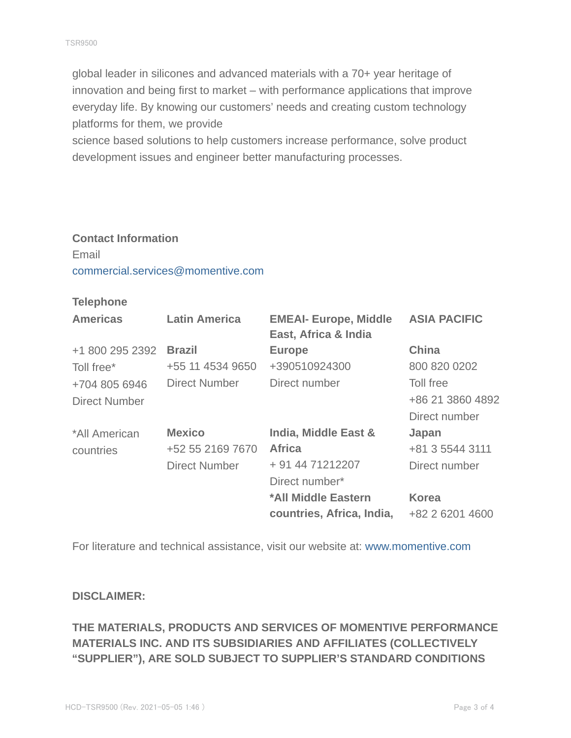global leader in silicones and advanced materials with a 70+ year heritage of innovation and being first to market – with performance applications that improve everyday life. By knowing our customers' needs and creating custom technology platforms for them, we provide

science based solutions to help customers increase performance, solve product development issues and engineer better manufacturing processes.

# **Contact Information** Email commercial.services@momentive.com

#### **Telephone**

| <b>Americas</b>      | <b>Latin America</b> | <b>EMEAI- Europe, Middle</b><br>East, Africa & India | <b>ASIA PACIFIC</b> |
|----------------------|----------------------|------------------------------------------------------|---------------------|
| +1 800 295 2392      | <b>Brazil</b>        | <b>Europe</b>                                        | <b>China</b>        |
| Toll free*           | +55 11 4534 9650     | +390510924300                                        | 800 820 0202        |
| +704 805 6946        | Direct Number        | Direct number                                        | Toll free           |
| <b>Direct Number</b> |                      |                                                      | +86 21 3860 4892    |
|                      |                      |                                                      | Direct number       |
| *All American        | <b>Mexico</b>        | India, Middle East &                                 | Japan               |
| countries            | +52 55 2169 7670     | <b>Africa</b>                                        | +81 3 5544 3111     |
|                      | <b>Direct Number</b> | + 91 44 71212207                                     | Direct number       |
|                      |                      | Direct number*                                       |                     |
|                      |                      | *All Middle Eastern                                  | <b>Korea</b>        |
|                      |                      | countries, Africa, India,                            | +82 2 6201 4600     |

For literature and technical assistance, visit our website at: www.momentive.com

#### **DISCLAIMER:**

## **THE MATERIALS, PRODUCTS AND SERVICES OF MOMENTIVE PERFORMANCE MATERIALS INC. AND ITS SUBSIDIARIES AND AFFILIATES (COLLECTIVELY "SUPPLIER"), ARE SOLD SUBJECT TO SUPPLIER'S STANDARD CONDITIONS**